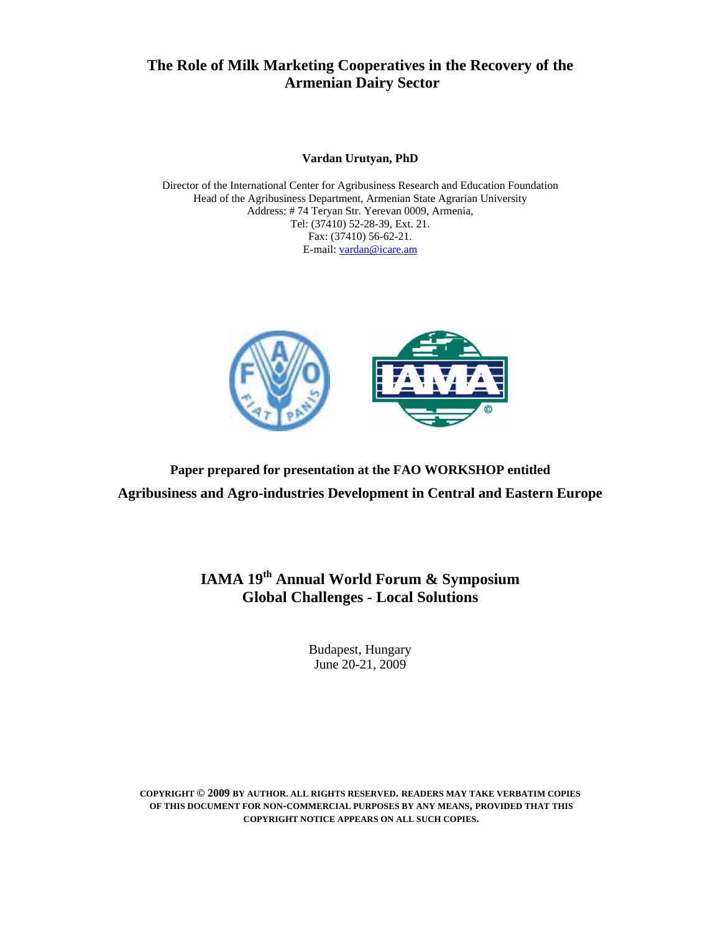# **The Role of Milk Marketing Cooperatives in the Recovery of the Armenian Dairy Sector**

#### **Vardan Urutyan, PhD**

Director of the International Center for Agribusiness Research and Education Foundation Head of the Agribusiness Department, Armenian State Agrarian University Address: # 74 Teryan Str. Yerevan 0009, Armenia, Tel: (37410) 52-28-39, Ext. 21. Fax: (37410) 56-62-21. E-mail: vardan@icare.am



**Paper prepared for presentation at the FAO WORKSHOP entitled Agribusiness and Agro-industries Development in Central and Eastern Europe** 

> **IAMA 19th Annual World Forum & Symposium Global Challenges - Local Solutions**

> > Budapest, Hungary June 20-21, 2009

**COPYRIGHT © 2009 BY AUTHOR. ALL RIGHTS RESERVED. READERS MAY TAKE VERBATIM COPIES OF THIS DOCUMENT FOR NON-COMMERCIAL PURPOSES BY ANY MEANS, PROVIDED THAT THIS COPYRIGHT NOTICE APPEARS ON ALL SUCH COPIES.**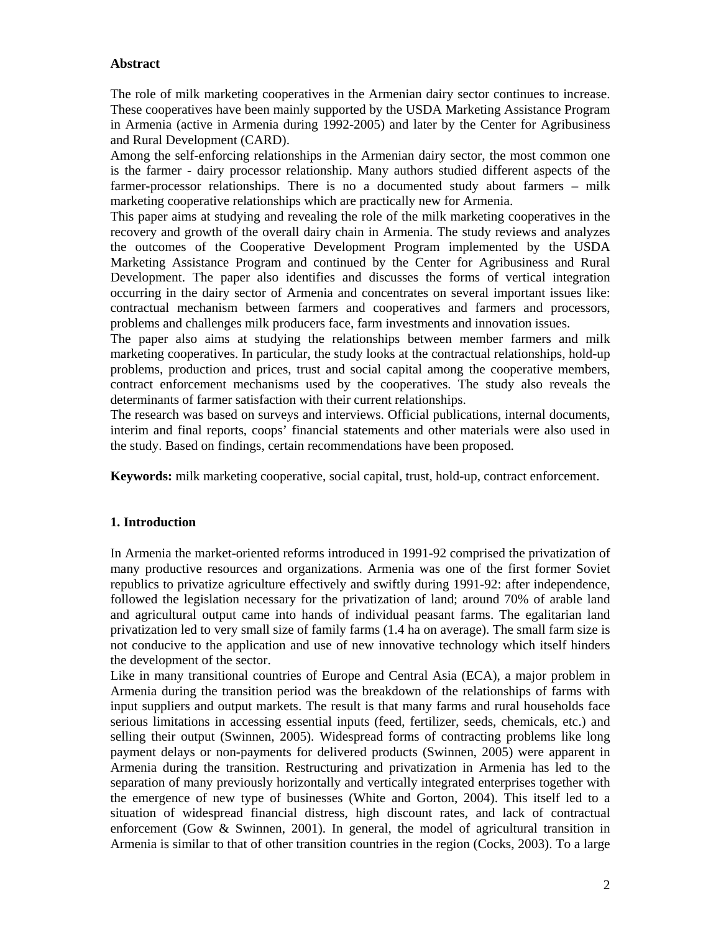# **Abstract**

The role of milk marketing cooperatives in the Armenian dairy sector continues to increase. These cooperatives have been mainly supported by the USDA Marketing Assistance Program in Armenia (active in Armenia during 1992-2005) and later by the Center for Agribusiness and Rural Development (CARD).

Among the self-enforcing relationships in the Armenian dairy sector, the most common one is the farmer - dairy processor relationship. Many authors studied different aspects of the farmer-processor relationships. There is no a documented study about farmers – milk marketing cooperative relationships which are practically new for Armenia.

This paper aims at studying and revealing the role of the milk marketing cooperatives in the recovery and growth of the overall dairy chain in Armenia. The study reviews and analyzes the outcomes of the Cooperative Development Program implemented by the USDA Marketing Assistance Program and continued by the Center for Agribusiness and Rural Development. The paper also identifies and discusses the forms of vertical integration occurring in the dairy sector of Armenia and concentrates on several important issues like: contractual mechanism between farmers and cooperatives and farmers and processors, problems and challenges milk producers face, farm investments and innovation issues.

The paper also aims at studying the relationships between member farmers and milk marketing cooperatives. In particular, the study looks at the contractual relationships, hold-up problems, production and prices, trust and social capital among the cooperative members, contract enforcement mechanisms used by the cooperatives. The study also reveals the determinants of farmer satisfaction with their current relationships.

The research was based on surveys and interviews. Official publications, internal documents, interim and final reports, coops' financial statements and other materials were also used in the study. Based on findings, certain recommendations have been proposed.

**Keywords:** milk marketing cooperative, social capital, trust, hold-up, contract enforcement.

# **1. Introduction**

In Armenia the market-oriented reforms introduced in 1991-92 comprised the privatization of many productive resources and organizations. Armenia was one of the first former Soviet republics to privatize agriculture effectively and swiftly during 1991-92: after independence, followed the legislation necessary for the privatization of land; around 70% of arable land and agricultural output came into hands of individual peasant farms. The egalitarian land privatization led to very small size of family farms (1.4 ha on average). The small farm size is not conducive to the application and use of new innovative technology which itself hinders the development of the sector.

Like in many transitional countries of Europe and Central Asia (ECA), a major problem in Armenia during the transition period was the breakdown of the relationships of farms with input suppliers and output markets. The result is that many farms and rural households face serious limitations in accessing essential inputs (feed, fertilizer, seeds, chemicals, etc.) and selling their output (Swinnen, 2005). Widespread forms of contracting problems like long payment delays or non-payments for delivered products (Swinnen, 2005) were apparent in Armenia during the transition. Restructuring and privatization in Armenia has led to the separation of many previously horizontally and vertically integrated enterprises together with the emergence of new type of businesses (White and Gorton, 2004). This itself led to a situation of widespread financial distress, high discount rates, and lack of contractual enforcement (Gow & Swinnen, 2001). In general, the model of agricultural transition in Armenia is similar to that of other transition countries in the region (Cocks, 2003). To a large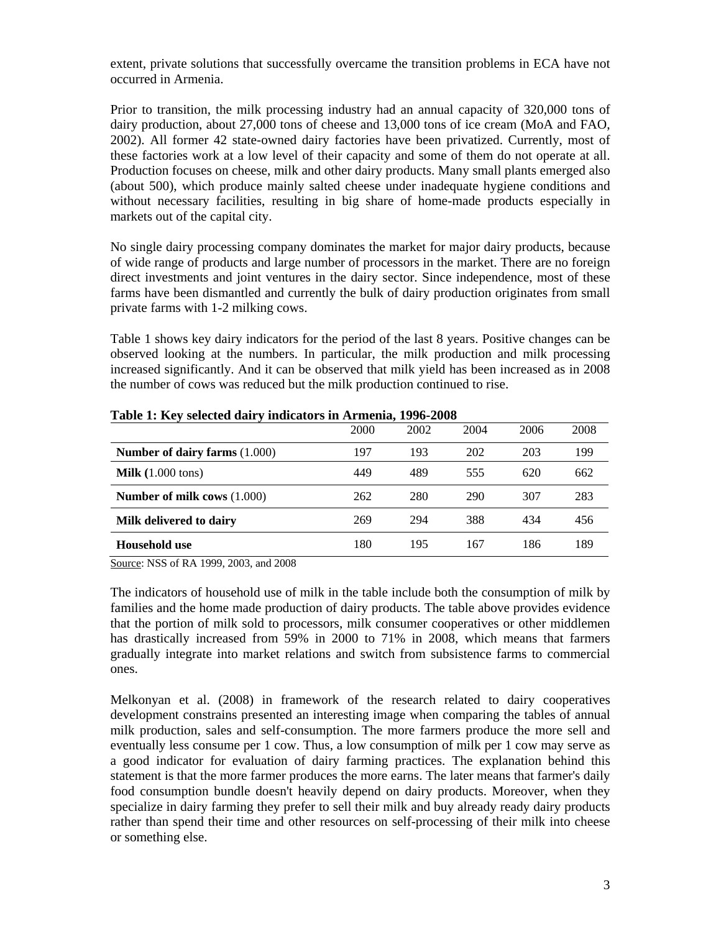extent, private solutions that successfully overcame the transition problems in ECA have not occurred in Armenia.

Prior to transition, the milk processing industry had an annual capacity of 320,000 tons of dairy production, about 27,000 tons of cheese and 13,000 tons of ice cream (MoA and FAO, 2002). All former 42 state-owned dairy factories have been privatized. Currently, most of these factories work at a low level of their capacity and some of them do not operate at all. Production focuses on cheese, milk and other dairy products. Many small plants emerged also (about 500), which produce mainly salted cheese under inadequate hygiene conditions and without necessary facilities, resulting in big share of home-made products especially in markets out of the capital city.

No single dairy processing company dominates the market for major dairy products, because of wide range of products and large number of processors in the market. There are no foreign direct investments and joint ventures in the dairy sector. Since independence, most of these farms have been dismantled and currently the bulk of dairy production originates from small private farms with 1-2 milking cows.

Table 1 shows key dairy indicators for the period of the last 8 years. Positive changes can be observed looking at the numbers. In particular, the milk production and milk processing increased significantly. And it can be observed that milk yield has been increased as in 2008 the number of cows was reduced but the milk production continued to rise.

|                                      | 2000 | 2002 | 2004 | 2006 | 2008 |
|--------------------------------------|------|------|------|------|------|
| <b>Number of dairy farms (1.000)</b> | 197  | 193  | 202  | 203  | 199  |
| Milk $(1.000 \text{ tons})$          | 449  | 489  | 555  | 620  | 662  |
| Number of milk cows $(1.000)$        | 262  | 280  | 290  | 307  | 283  |
| Milk delivered to dairy              | 269  | 294  | 388  | 434  | 456  |
| Household use                        | 180  | 195  | 167  | 186  | 189  |

| Table 1: Key selected dairy indicators in Armenia, 1996-2008 |  |  |  |  |  |
|--------------------------------------------------------------|--|--|--|--|--|
|--------------------------------------------------------------|--|--|--|--|--|

Source: NSS of RA 1999, 2003, and 2008

The indicators of household use of milk in the table include both the consumption of milk by families and the home made production of dairy products. The table above provides evidence that the portion of milk sold to processors, milk consumer cooperatives or other middlemen has drastically increased from 59% in 2000 to 71% in 2008, which means that farmers gradually integrate into market relations and switch from subsistence farms to commercial ones.

Melkonyan et al. (2008) in framework of the research related to dairy cooperatives development constrains presented an interesting image when comparing the tables of annual milk production, sales and self-consumption. The more farmers produce the more sell and eventually less consume per 1 cow. Thus, a low consumption of milk per 1 cow may serve as a good indicator for evaluation of dairy farming practices. The explanation behind this statement is that the more farmer produces the more earns. The later means that farmer's daily food consumption bundle doesn't heavily depend on dairy products. Moreover, when they specialize in dairy farming they prefer to sell their milk and buy already ready dairy products rather than spend their time and other resources on self-processing of their milk into cheese or something else.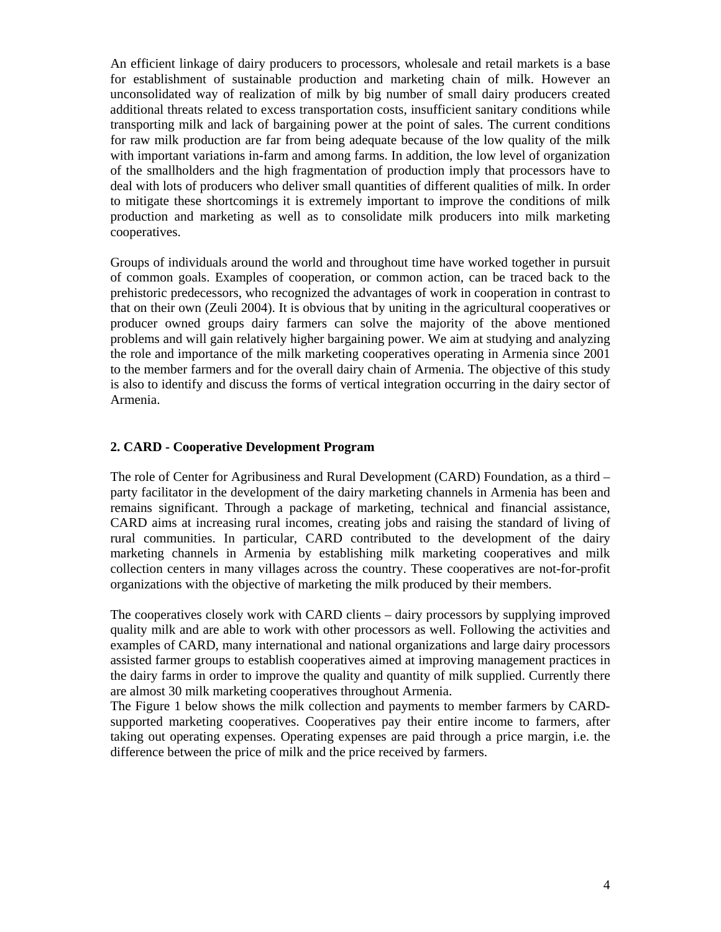An efficient linkage of dairy producers to processors, wholesale and retail markets is a base for establishment of sustainable production and marketing chain of milk. However an unconsolidated way of realization of milk by big number of small dairy producers created additional threats related to excess transportation costs, insufficient sanitary conditions while transporting milk and lack of bargaining power at the point of sales. The current conditions for raw milk production are far from being adequate because of the low quality of the milk with important variations in-farm and among farms. In addition, the low level of organization of the smallholders and the high fragmentation of production imply that processors have to deal with lots of producers who deliver small quantities of different qualities of milk. In order to mitigate these shortcomings it is extremely important to improve the conditions of milk production and marketing as well as to consolidate milk producers into milk marketing cooperatives.

Groups of individuals around the world and throughout time have worked together in pursuit of common goals. Examples of cooperation, or common action, can be traced back to the prehistoric predecessors, who recognized the advantages of work in cooperation in contrast to that on their own (Zeuli 2004). It is obvious that by uniting in the agricultural cooperatives or producer owned groups dairy farmers can solve the majority of the above mentioned problems and will gain relatively higher bargaining power. We aim at studying and analyzing the role and importance of the milk marketing cooperatives operating in Armenia since 2001 to the member farmers and for the overall dairy chain of Armenia. The objective of this study is also to identify and discuss the forms of vertical integration occurring in the dairy sector of Armenia.

# **2. CARD - Cooperative Development Program**

The role of Center for Agribusiness and Rural Development (CARD) Foundation, as a third – party facilitator in the development of the dairy marketing channels in Armenia has been and remains significant. Through a package of marketing, technical and financial assistance, CARD aims at increasing rural incomes, creating jobs and raising the standard of living of rural communities. In particular, CARD contributed to the development of the dairy marketing channels in Armenia by establishing milk marketing cooperatives and milk collection centers in many villages across the country. These cooperatives are not-for-profit organizations with the objective of marketing the milk produced by their members.

The cooperatives closely work with CARD clients – dairy processors by supplying improved quality milk and are able to work with other processors as well. Following the activities and examples of CARD, many international and national organizations and large dairy processors assisted farmer groups to establish cooperatives aimed at improving management practices in the dairy farms in order to improve the quality and quantity of milk supplied. Currently there are almost 30 milk marketing cooperatives throughout Armenia.

The Figure 1 below shows the milk collection and payments to member farmers by CARDsupported marketing cooperatives. Cooperatives pay their entire income to farmers, after taking out operating expenses. Operating expenses are paid through a price margin, i.e. the difference between the price of milk and the price received by farmers.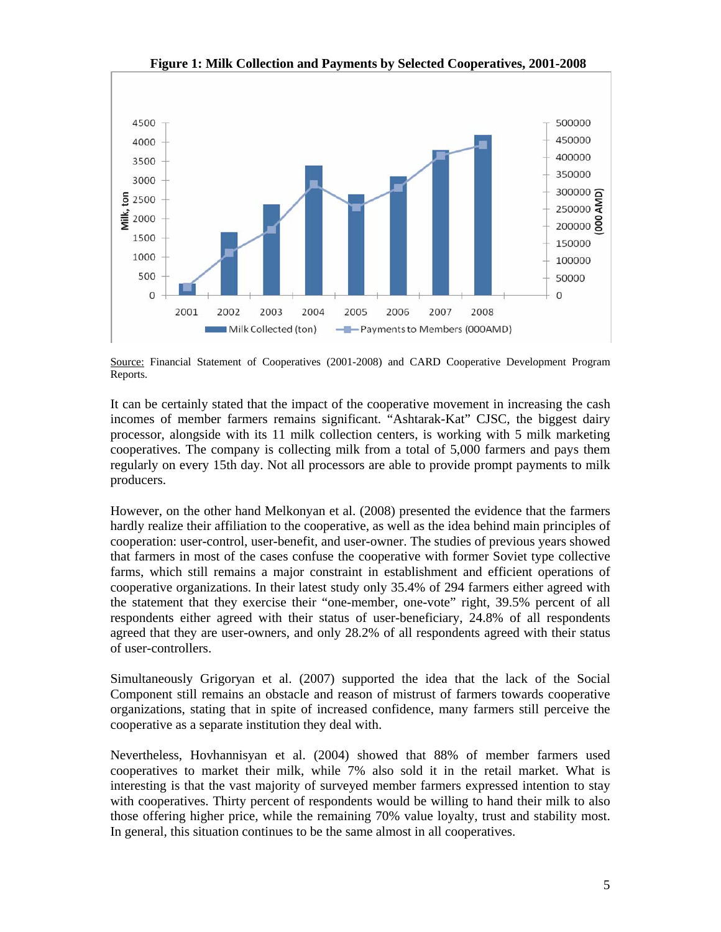

 **Figure 1: Milk Collection and Payments by Selected Cooperatives, 2001-2008**

It can be certainly stated that the impact of the cooperative movement in increasing the cash incomes of member farmers remains significant. "Ashtarak-Kat" CJSC, the biggest dairy processor, alongside with its 11 milk collection centers, is working with 5 milk marketing cooperatives. The company is collecting milk from a total of 5,000 farmers and pays them regularly on every 15th day. Not all processors are able to provide prompt payments to milk producers.

However, on the other hand Melkonyan et al. (2008) presented the evidence that the farmers hardly realize their affiliation to the cooperative, as well as the idea behind main principles of cooperation: user-control, user-benefit, and user-owner. The studies of previous years showed that farmers in most of the cases confuse the cooperative with former Soviet type collective farms, which still remains a major constraint in establishment and efficient operations of cooperative organizations. In their latest study only 35.4% of 294 farmers either agreed with the statement that they exercise their "one-member, one-vote" right, 39.5% percent of all respondents either agreed with their status of user-beneficiary, 24.8% of all respondents agreed that they are user-owners, and only 28.2% of all respondents agreed with their status of user-controllers.

Simultaneously Grigoryan et al. (2007) supported the idea that the lack of the Social Component still remains an obstacle and reason of mistrust of farmers towards cooperative organizations, stating that in spite of increased confidence, many farmers still perceive the cooperative as a separate institution they deal with.

Nevertheless, Hovhannisyan et al. (2004) showed that 88% of member farmers used cooperatives to market their milk, while 7% also sold it in the retail market. What is interesting is that the vast majority of surveyed member farmers expressed intention to stay with cooperatives. Thirty percent of respondents would be willing to hand their milk to also those offering higher price, while the remaining 70% value loyalty, trust and stability most. In general, this situation continues to be the same almost in all cooperatives.

Source: Financial Statement of Cooperatives (2001-2008) and CARD Cooperative Development Program Reports.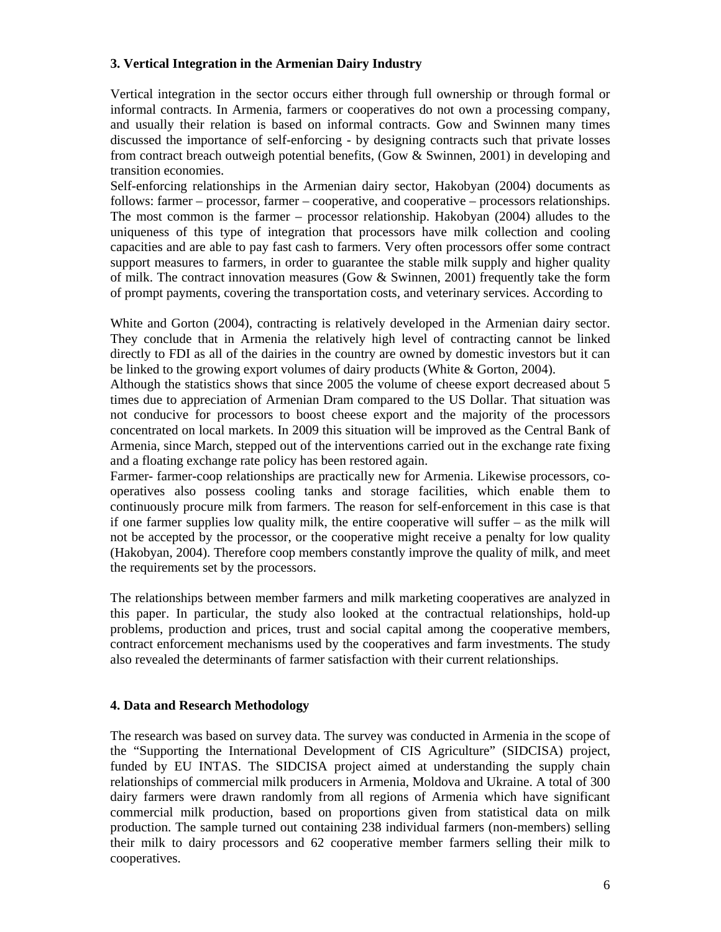# **3. Vertical Integration in the Armenian Dairy Industry**

Vertical integration in the sector occurs either through full ownership or through formal or informal contracts. In Armenia, farmers or cooperatives do not own a processing company, and usually their relation is based on informal contracts. Gow and Swinnen many times discussed the importance of self-enforcing - by designing contracts such that private losses from contract breach outweigh potential benefits, (Gow & Swinnen, 2001) in developing and transition economies.

Self-enforcing relationships in the Armenian dairy sector, Hakobyan (2004) documents as follows: farmer – processor, farmer – cooperative, and cooperative – processors relationships. The most common is the farmer – processor relationship. Hakobyan (2004) alludes to the uniqueness of this type of integration that processors have milk collection and cooling capacities and are able to pay fast cash to farmers. Very often processors offer some contract support measures to farmers, in order to guarantee the stable milk supply and higher quality of milk. The contract innovation measures (Gow  $&$  Swinnen, 2001) frequently take the form of prompt payments, covering the transportation costs, and veterinary services. According to

White and Gorton (2004), contracting is relatively developed in the Armenian dairy sector. They conclude that in Armenia the relatively high level of contracting cannot be linked directly to FDI as all of the dairies in the country are owned by domestic investors but it can be linked to the growing export volumes of dairy products (White & Gorton, 2004).

Although the statistics shows that since 2005 the volume of cheese export decreased about 5 times due to appreciation of Armenian Dram compared to the US Dollar. That situation was not conducive for processors to boost cheese export and the majority of the processors concentrated on local markets. In 2009 this situation will be improved as the Central Bank of Armenia, since March, stepped out of the interventions carried out in the exchange rate fixing and a floating exchange rate policy has been restored again.

Farmer- farmer-coop relationships are practically new for Armenia. Likewise processors, cooperatives also possess cooling tanks and storage facilities, which enable them to continuously procure milk from farmers. The reason for self-enforcement in this case is that if one farmer supplies low quality milk, the entire cooperative will suffer – as the milk will not be accepted by the processor, or the cooperative might receive a penalty for low quality (Hakobyan, 2004). Therefore coop members constantly improve the quality of milk, and meet the requirements set by the processors.

The relationships between member farmers and milk marketing cooperatives are analyzed in this paper. In particular, the study also looked at the contractual relationships, hold-up problems, production and prices, trust and social capital among the cooperative members, contract enforcement mechanisms used by the cooperatives and farm investments. The study also revealed the determinants of farmer satisfaction with their current relationships.

# **4. Data and Research Methodology**

The research was based on survey data. The survey was conducted in Armenia in the scope of the "Supporting the International Development of CIS Agriculture" (SIDCISA) project, funded by EU INTAS. The SIDCISA project aimed at understanding the supply chain relationships of commercial milk producers in Armenia, Moldova and Ukraine. A total of 300 dairy farmers were drawn randomly from all regions of Armenia which have significant commercial milk production, based on proportions given from statistical data on milk production. The sample turned out containing 238 individual farmers (non-members) selling their milk to dairy processors and 62 cooperative member farmers selling their milk to cooperatives.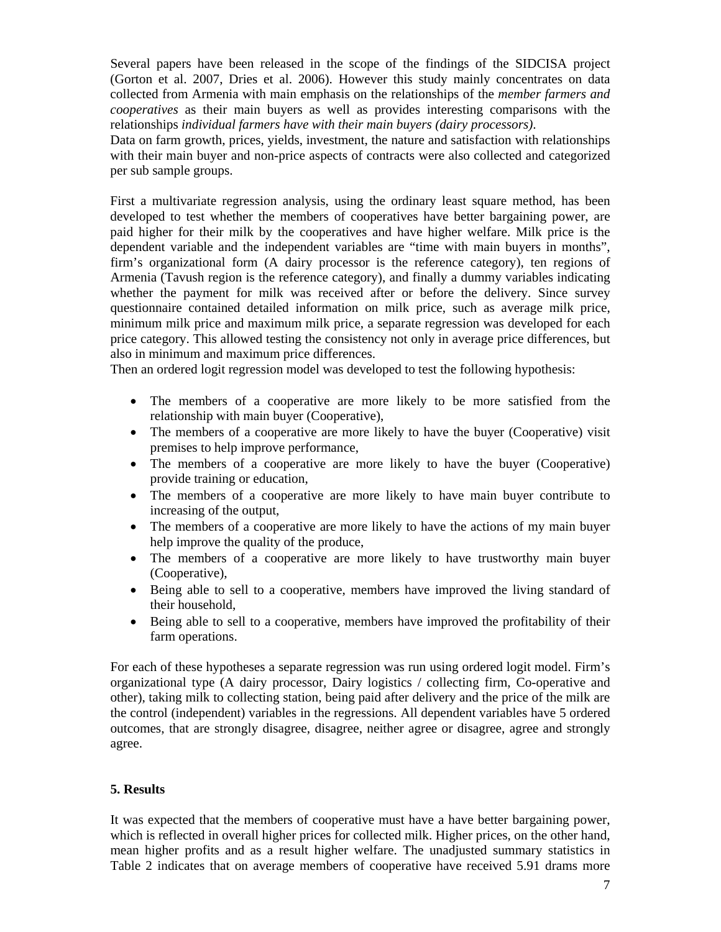Several papers have been released in the scope of the findings of the SIDCISA project (Gorton et al. 2007, Dries et al. 2006). However this study mainly concentrates on data collected from Armenia with main emphasis on the relationships of the *member farmers and cooperatives* as their main buyers as well as provides interesting comparisons with the relationships *individual farmers have with their main buyers (dairy processors)*.

Data on farm growth, prices, yields, investment, the nature and satisfaction with relationships with their main buyer and non-price aspects of contracts were also collected and categorized per sub sample groups.

First a multivariate regression analysis, using the ordinary least square method, has been developed to test whether the members of cooperatives have better bargaining power, are paid higher for their milk by the cooperatives and have higher welfare. Milk price is the dependent variable and the independent variables are "time with main buyers in months", firm's organizational form (A dairy processor is the reference category), ten regions of Armenia (Tavush region is the reference category), and finally a dummy variables indicating whether the payment for milk was received after or before the delivery. Since survey questionnaire contained detailed information on milk price, such as average milk price, minimum milk price and maximum milk price, a separate regression was developed for each price category. This allowed testing the consistency not only in average price differences, but also in minimum and maximum price differences.

Then an ordered logit regression model was developed to test the following hypothesis:

- The members of a cooperative are more likely to be more satisfied from the relationship with main buyer (Cooperative),
- The members of a cooperative are more likely to have the buyer (Cooperative) visit premises to help improve performance,
- The members of a cooperative are more likely to have the buyer (Cooperative) provide training or education,
- The members of a cooperative are more likely to have main buyer contribute to increasing of the output,
- The members of a cooperative are more likely to have the actions of my main buyer help improve the quality of the produce,
- The members of a cooperative are more likely to have trustworthy main buyer (Cooperative),
- Being able to sell to a cooperative, members have improved the living standard of their household,
- Being able to sell to a cooperative, members have improved the profitability of their farm operations.

For each of these hypotheses a separate regression was run using ordered logit model. Firm's organizational type (A dairy processor, Dairy logistics / collecting firm, Co-operative and other), taking milk to collecting station, being paid after delivery and the price of the milk are the control (independent) variables in the regressions. All dependent variables have 5 ordered outcomes, that are strongly disagree, disagree, neither agree or disagree, agree and strongly agree.

# **5. Results**

It was expected that the members of cooperative must have a have better bargaining power, which is reflected in overall higher prices for collected milk. Higher prices, on the other hand, mean higher profits and as a result higher welfare. The unadjusted summary statistics in Table 2 indicates that on average members of cooperative have received 5.91 drams more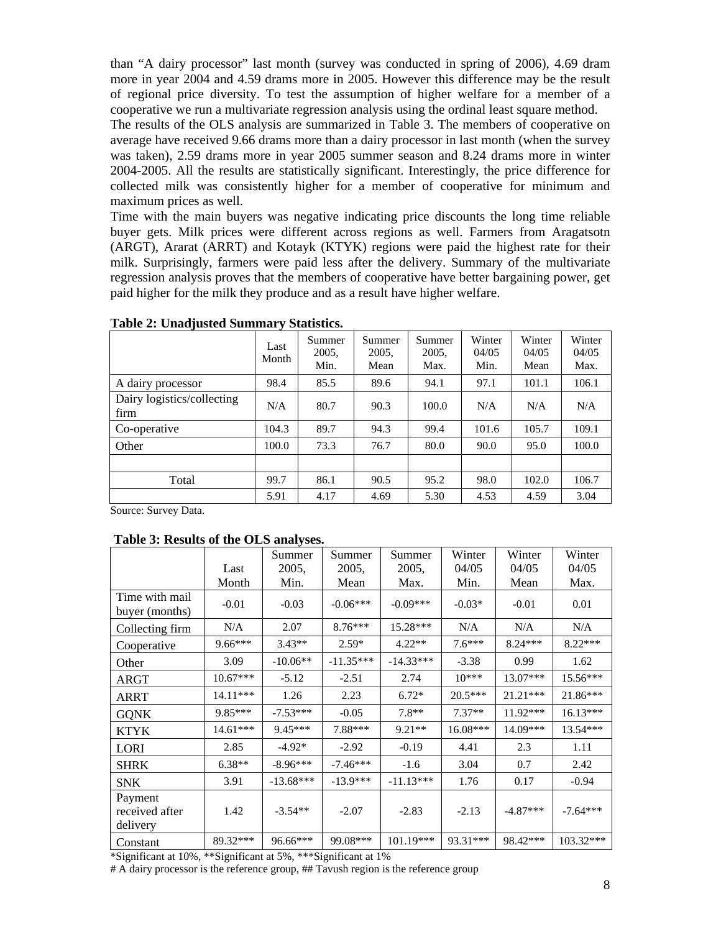than "A dairy processor" last month (survey was conducted in spring of 2006), 4.69 dram more in year 2004 and 4.59 drams more in 2005. However this difference may be the result of regional price diversity. To test the assumption of higher welfare for a member of a cooperative we run a multivariate regression analysis using the ordinal least square method.

The results of the OLS analysis are summarized in Table 3. The members of cooperative on average have received 9.66 drams more than a dairy processor in last month (when the survey was taken), 2.59 drams more in year 2005 summer season and 8.24 drams more in winter 2004-2005. All the results are statistically significant. Interestingly, the price difference for collected milk was consistently higher for a member of cooperative for minimum and maximum prices as well.

Time with the main buyers was negative indicating price discounts the long time reliable buyer gets. Milk prices were different across regions as well. Farmers from Aragatsotn (ARGT), Ararat (ARRT) and Kotayk (KTYK) regions were paid the highest rate for their milk. Surprisingly, farmers were paid less after the delivery. Summary of the multivariate regression analysis proves that the members of cooperative have better bargaining power, get paid higher for the milk they produce and as a result have higher welfare.

|                                    | Last<br>Month | Summer<br>2005,<br>Min. | Summer<br>2005.<br>Mean | Summer<br>2005,<br>Max. | Winter<br>04/05<br>Min. | Winter<br>04/05<br>Mean | Winter<br>04/05<br>Max. |
|------------------------------------|---------------|-------------------------|-------------------------|-------------------------|-------------------------|-------------------------|-------------------------|
| A dairy processor                  | 98.4          | 85.5                    | 89.6                    | 94.1                    | 97.1                    | 101.1                   | 106.1                   |
| Dairy logistics/collecting<br>firm | N/A           | 80.7                    | 90.3                    | 100.0                   | N/A                     | N/A                     | N/A                     |
| Co-operative                       | 104.3         | 89.7                    | 94.3                    | 99.4                    | 101.6                   | 105.7                   | 109.1                   |
| Other                              | 100.0         | 73.3                    | 76.7                    | 80.0                    | 90.0                    | 95.0                    | 100.0                   |
|                                    |               |                         |                         |                         |                         |                         |                         |
| Total                              | 99.7          | 86.1                    | 90.5                    | 95.2                    | 98.0                    | 102.0                   | 106.7                   |
|                                    | 5.91          | 4.17                    | 4.69                    | 5.30                    | 4.53                    | 4.59                    | 3.04                    |

**Table 2: Unadjusted Summary Statistics.** 

Source: Survey Data.

#### **Table 3: Results of the OLS analyses.**

|                                       |            | Summer      | Summer      | Summer      | Winter     | Winter     | Winter     |
|---------------------------------------|------------|-------------|-------------|-------------|------------|------------|------------|
|                                       | Last       | 2005,       | 2005,       | 2005,       | 04/05      | 04/05      | 04/05      |
|                                       | Month      | Min.        | Mean        | Max.        | Min.       | Mean       | Max.       |
| Time with mail<br>buyer (months)      | $-0.01$    | $-0.03$     | $-0.06***$  | $-0.09***$  | $-0.03*$   | $-0.01$    | 0.01       |
| Collecting firm                       | N/A        | 2.07        | $8.76***$   | 15.28***    | N/A        | N/A        | N/A        |
| Cooperative                           | $9.66***$  | $3.43**$    | $2.59*$     | $4.22**$    | $7.6***$   | $8.24***$  | $8.22***$  |
| Other                                 | 3.09       | $-10.06**$  | $-11.35***$ | $-14.33***$ | $-3.38$    | 0.99       | 1.62       |
| ARGT                                  | $10.67***$ | $-5.12$     | $-2.51$     | 2.74        | $10***$    | $13.07***$ | $15.56***$ |
| ARRT                                  | $14.11***$ | 1.26        | 2.23        | $6.72*$     | $20.5***$  | $21.21***$ | 21.86***   |
| <b>GQNK</b>                           | 9.85***    | $-7.53***$  | $-0.05$     | $7.8**$     | $7.37**$   | $11.92***$ | $16.13***$ |
| <b>KTYK</b>                           | $14.61***$ | $9.45***$   | 7.88***     | $9.21**$    | $16.08***$ | $14.09***$ | 13.54***   |
| LORI                                  | 2.85       | $-4.92*$    | $-2.92$     | $-0.19$     | 4.41       | 2.3        | 1.11       |
| <b>SHRK</b>                           | $6.38**$   | $-8.96***$  | $-7.46***$  | $-1.6$      | 3.04       | 0.7        | 2.42       |
| <b>SNK</b>                            | 3.91       | $-13.68***$ | $-13.9***$  | $-11.13***$ | 1.76       | 0.17       | $-0.94$    |
| Payment<br>received after<br>delivery | 1.42       | $-3.54**$   | $-2.07$     | $-2.83$     | $-2.13$    | $-4.87***$ | $-7.64***$ |
| Constant                              | 89.32***   | 96.66***    | 99.08***    | $101.19***$ | 93.31***   | 98.42***   | 103.32***  |

\*Significant at 10%, \*\*Significant at 5%, \*\*\*Significant at 1%

# A dairy processor is the reference group, ## Tavush region is the reference group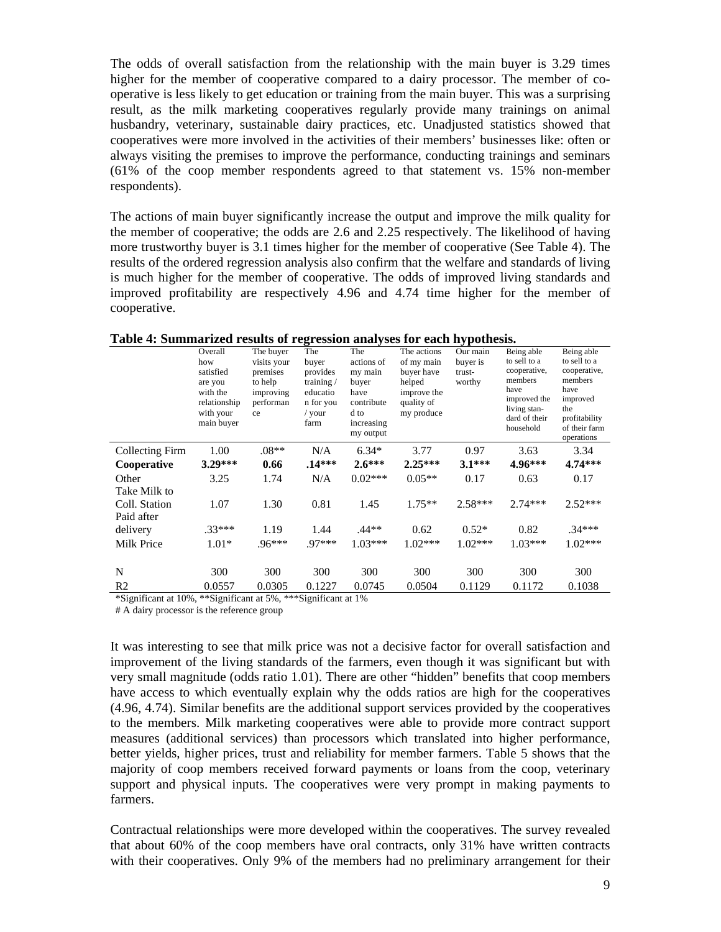The odds of overall satisfaction from the relationship with the main buyer is 3.29 times higher for the member of cooperative compared to a dairy processor. The member of cooperative is less likely to get education or training from the main buyer. This was a surprising result, as the milk marketing cooperatives regularly provide many trainings on animal husbandry, veterinary, sustainable dairy practices, etc. Unadjusted statistics showed that cooperatives were more involved in the activities of their members' businesses like: often or always visiting the premises to improve the performance, conducting trainings and seminars (61% of the coop member respondents agreed to that statement vs. 15% non-member respondents).

The actions of main buyer significantly increase the output and improve the milk quality for the member of cooperative; the odds are 2.6 and 2.25 respectively. The likelihood of having more trustworthy buyer is 3.1 times higher for the member of cooperative (See Table 4). The results of the ordered regression analysis also confirm that the welfare and standards of living is much higher for the member of cooperative. The odds of improved living standards and improved profitability are respectively 4.96 and 4.74 time higher for the member of cooperative.

|                                             | Overall<br>how<br>satisfied<br>are you<br>with the<br>relationship<br>with your<br>main buyer | The buyer<br>visits your<br>premises<br>to help<br>improving<br>performan<br>ce | The<br>buyer<br>provides<br>training $/$<br>educatio<br>n for you<br>/ your<br>farm | The<br>actions of<br>my main<br>buyer<br>have<br>contribute<br>d to<br>increasing<br>my output | The actions<br>of my main<br>buyer have<br>helped<br>improve the<br>quality of<br>my produce | Our main<br>buyer is<br>trust-<br>worthy | Being able<br>to sell to a<br>cooperative,<br>members<br>have<br>improved the<br>living stan-<br>dard of their<br>household | Being able<br>to sell to a<br>cooperative,<br>members<br>have<br>improved<br>the<br>profitability<br>of their farm<br>operations |
|---------------------------------------------|-----------------------------------------------------------------------------------------------|---------------------------------------------------------------------------------|-------------------------------------------------------------------------------------|------------------------------------------------------------------------------------------------|----------------------------------------------------------------------------------------------|------------------------------------------|-----------------------------------------------------------------------------------------------------------------------------|----------------------------------------------------------------------------------------------------------------------------------|
| Collecting Firm                             | 1.00                                                                                          | $.08**$                                                                         | N/A                                                                                 | $6.34*$                                                                                        | 3.77                                                                                         | 0.97                                     | 3.63                                                                                                                        | 3.34                                                                                                                             |
| Cooperative                                 | $3.29***$                                                                                     | 0.66                                                                            | $.14***$                                                                            | $2.6***$                                                                                       | $2.25***$                                                                                    | $3.1***$                                 | $4.96***$                                                                                                                   | $4.74***$                                                                                                                        |
| Other                                       | 3.25                                                                                          | 1.74                                                                            | N/A                                                                                 | $0.02***$                                                                                      | $0.05**$                                                                                     | 0.17                                     | 0.63                                                                                                                        | 0.17                                                                                                                             |
| Take Milk to<br>Coll. Station<br>Paid after | 1.07                                                                                          | 1.30                                                                            | 0.81                                                                                | 1.45                                                                                           | $1.75**$                                                                                     | $2.58***$                                | $2.74***$                                                                                                                   | $2.52***$                                                                                                                        |
| delivery                                    | $.33***$                                                                                      | 1.19                                                                            | 1.44                                                                                | .44**                                                                                          | 0.62                                                                                         | $0.52*$                                  | 0.82                                                                                                                        | $.34***$                                                                                                                         |
| Milk Price                                  | $1.01*$                                                                                       | $.96***$                                                                        | 97***                                                                               | $1.03***$                                                                                      | $1.02***$                                                                                    | $1.02***$                                | $1.03***$                                                                                                                   | $1.02***$                                                                                                                        |
| N<br>R <sub>2</sub>                         | 300<br>0.0557                                                                                 | 300<br>0.0305                                                                   | 300<br>0.1227                                                                       | 300<br>0.0745                                                                                  | 300<br>0.0504                                                                                | 300<br>0.1129                            | 300<br>0.1172                                                                                                               | 300<br>0.1038                                                                                                                    |
|                                             |                                                                                               |                                                                                 |                                                                                     |                                                                                                |                                                                                              |                                          |                                                                                                                             |                                                                                                                                  |

**Table 4: Summarized results of regression analyses for each hypothesis.**

\*Significant at 10%, \*\*Significant at 5%, \*\*\*Significant at 1%

# A dairy processor is the reference group

It was interesting to see that milk price was not a decisive factor for overall satisfaction and improvement of the living standards of the farmers, even though it was significant but with very small magnitude (odds ratio 1.01). There are other "hidden" benefits that coop members have access to which eventually explain why the odds ratios are high for the cooperatives (4.96, 4.74). Similar benefits are the additional support services provided by the cooperatives to the members. Milk marketing cooperatives were able to provide more contract support measures (additional services) than processors which translated into higher performance, better yields, higher prices, trust and reliability for member farmers. Table 5 shows that the majority of coop members received forward payments or loans from the coop, veterinary support and physical inputs. The cooperatives were very prompt in making payments to farmers.

Contractual relationships were more developed within the cooperatives. The survey revealed that about 60% of the coop members have oral contracts, only 31% have written contracts with their cooperatives. Only 9% of the members had no preliminary arrangement for their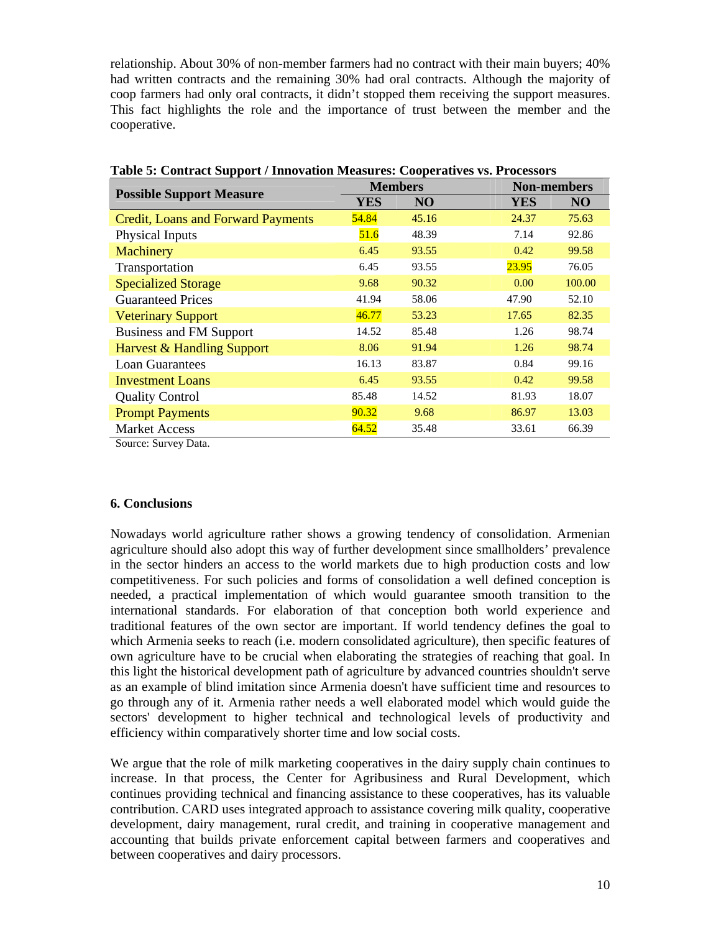relationship. About 30% of non-member farmers had no contract with their main buyers; 40% had written contracts and the remaining 30% had oral contracts. Although the majority of coop farmers had only oral contracts, it didn't stopped them receiving the support measures. This fact highlights the role and the importance of trust between the member and the cooperative.

|                                           | <b>Members</b> |       | <b>Non-members</b> |  |  |
|-------------------------------------------|----------------|-------|--------------------|--|--|
| <b>Possible Support Measure</b>           | <b>YES</b>     | NO    | <b>YES</b><br>NO   |  |  |
| <b>Credit, Loans and Forward Payments</b> | 54.84          | 45.16 | 75.63<br>24.37     |  |  |
| Physical Inputs                           | 51.6           | 48.39 | 7.14<br>92.86      |  |  |
| Machinery                                 | 6.45           | 93.55 | 99.58<br>0.42      |  |  |
| Transportation                            | 6.45           | 93.55 | 23.95<br>76.05     |  |  |
| <b>Specialized Storage</b>                | 9.68           | 90.32 | 100.00<br>0.00     |  |  |
| <b>Guaranteed Prices</b>                  | 41.94          | 58.06 | 52.10<br>47.90     |  |  |
| <b>Veterinary Support</b>                 | 46.77          | 53.23 | 82.35<br>17.65     |  |  |
| <b>Business and FM Support</b>            | 14.52          | 85.48 | 98.74<br>1.26      |  |  |
| Harvest & Handling Support                | 8.06           | 91.94 | 98.74<br>1.26      |  |  |
| <b>Loan Guarantees</b>                    | 16.13          | 83.87 | 0.84<br>99.16      |  |  |
| <b>Investment Loans</b>                   | 6.45           | 93.55 | 99.58<br>0.42      |  |  |
| <b>Quality Control</b>                    | 85.48          | 14.52 | 18.07<br>81.93     |  |  |
| <b>Prompt Payments</b>                    | 90.32          | 9.68  | 86.97<br>13.03     |  |  |
| <b>Market Access</b>                      | 64.52          | 35.48 | 33.61<br>66.39     |  |  |

**Table 5: Contract Support / Innovation Measures: Cooperatives vs. Processors** 

Source: Survey Data.

# **6. Conclusions**

Nowadays world agriculture rather shows a growing tendency of consolidation. Armenian agriculture should also adopt this way of further development since smallholders' prevalence in the sector hinders an access to the world markets due to high production costs and low competitiveness. For such policies and forms of consolidation a well defined conception is needed, a practical implementation of which would guarantee smooth transition to the international standards. For elaboration of that conception both world experience and traditional features of the own sector are important. If world tendency defines the goal to which Armenia seeks to reach (i.e. modern consolidated agriculture), then specific features of own agriculture have to be crucial when elaborating the strategies of reaching that goal. In this light the historical development path of agriculture by advanced countries shouldn't serve as an example of blind imitation since Armenia doesn't have sufficient time and resources to go through any of it. Armenia rather needs a well elaborated model which would guide the sectors' development to higher technical and technological levels of productivity and efficiency within comparatively shorter time and low social costs.

We argue that the role of milk marketing cooperatives in the dairy supply chain continues to increase. In that process, the Center for Agribusiness and Rural Development, which continues providing technical and financing assistance to these cooperatives, has its valuable contribution. CARD uses integrated approach to assistance covering milk quality, cooperative development, dairy management, rural credit, and training in cooperative management and accounting that builds private enforcement capital between farmers and cooperatives and between cooperatives and dairy processors.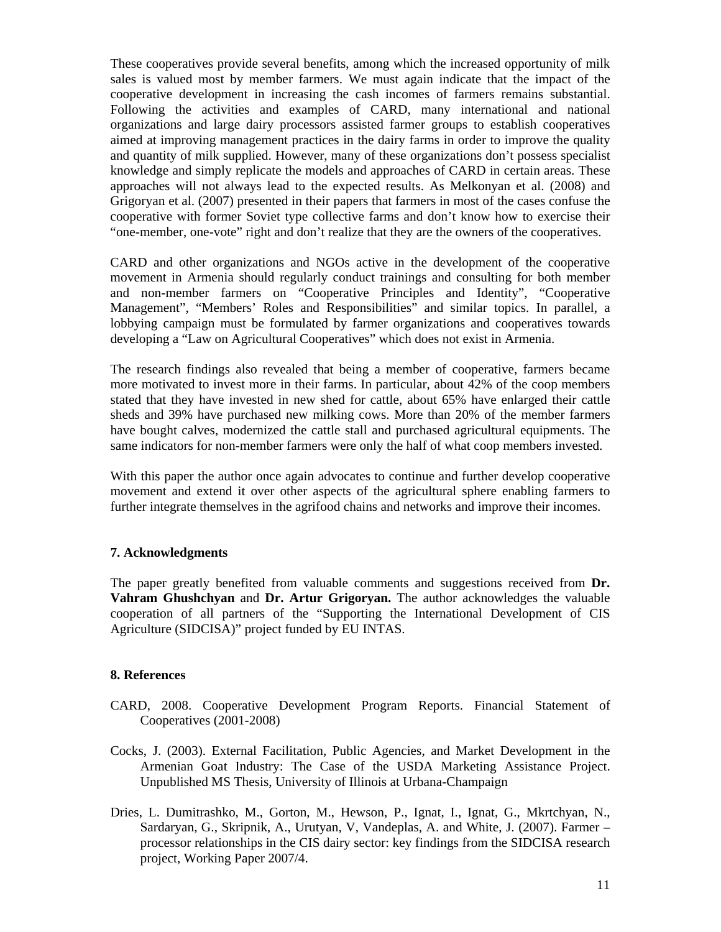These cooperatives provide several benefits, among which the increased opportunity of milk sales is valued most by member farmers. We must again indicate that the impact of the cooperative development in increasing the cash incomes of farmers remains substantial. Following the activities and examples of CARD, many international and national organizations and large dairy processors assisted farmer groups to establish cooperatives aimed at improving management practices in the dairy farms in order to improve the quality and quantity of milk supplied. However, many of these organizations don't possess specialist knowledge and simply replicate the models and approaches of CARD in certain areas. These approaches will not always lead to the expected results. As Melkonyan et al. (2008) and Grigoryan et al. (2007) presented in their papers that farmers in most of the cases confuse the cooperative with former Soviet type collective farms and don't know how to exercise their "one-member, one-vote" right and don't realize that they are the owners of the cooperatives.

CARD and other organizations and NGOs active in the development of the cooperative movement in Armenia should regularly conduct trainings and consulting for both member and non-member farmers on "Cooperative Principles and Identity", "Cooperative Management", "Members' Roles and Responsibilities" and similar topics. In parallel, a lobbying campaign must be formulated by farmer organizations and cooperatives towards developing a "Law on Agricultural Cooperatives" which does not exist in Armenia.

The research findings also revealed that being a member of cooperative, farmers became more motivated to invest more in their farms. In particular, about 42% of the coop members stated that they have invested in new shed for cattle, about 65% have enlarged their cattle sheds and 39% have purchased new milking cows. More than 20% of the member farmers have bought calves, modernized the cattle stall and purchased agricultural equipments. The same indicators for non-member farmers were only the half of what coop members invested.

With this paper the author once again advocates to continue and further develop cooperative movement and extend it over other aspects of the agricultural sphere enabling farmers to further integrate themselves in the agrifood chains and networks and improve their incomes.

# **7. Acknowledgments**

The paper greatly benefited from valuable comments and suggestions received from **Dr. Vahram Ghushchyan** and **Dr. Artur Grigoryan.** The author acknowledges the valuable cooperation of all partners of the "Supporting the International Development of CIS Agriculture (SIDCISA)" project funded by EU INTAS.

# **8. References**

- CARD, 2008. Cooperative Development Program Reports. Financial Statement of Cooperatives (2001-2008)
- Cocks, J. (2003). External Facilitation, Public Agencies, and Market Development in the Armenian Goat Industry: The Case of the USDA Marketing Assistance Project. Unpublished MS Thesis, University of Illinois at Urbana-Champaign
- Dries, L. Dumitrashko, M., Gorton, M., Hewson, P., Ignat, I., Ignat, G., Mkrtchyan, N., Sardaryan, G., Skripnik, A., Urutyan, V, Vandeplas, A. and White, J. (2007). Farmer – processor relationships in the CIS dairy sector: key findings from the SIDCISA research project, Working Paper 2007/4.